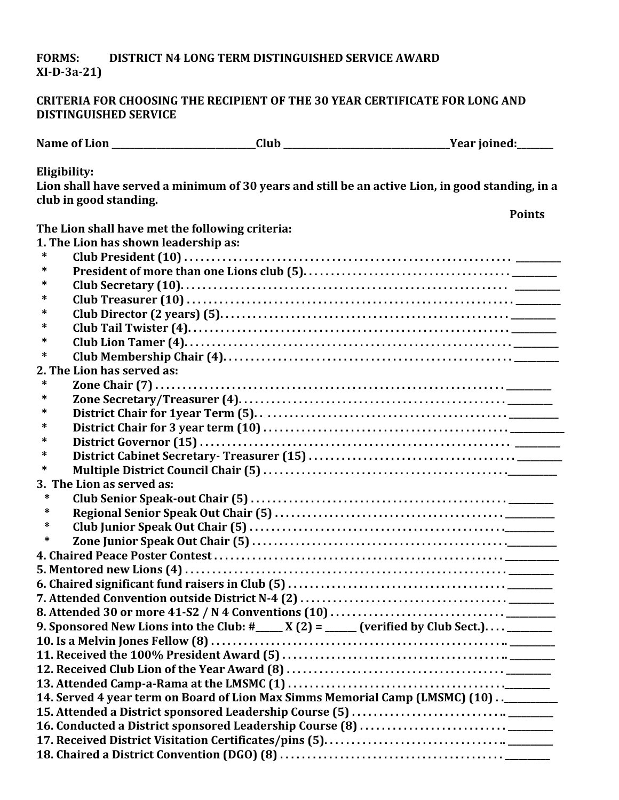## **FORMS: DISTRICT N4 LONG TERM DISTINGUISHED SERVICE AWARD XI-D-3a-21)**

## **CRITERIA FOR CHOOSING THE RECIPIENT OF THE 30 YEAR CERTIFICATE FOR LONG AND DISTINGUISHED SERVICE**

| Eligibility:                                    |                                                                                           |                                                                                                  |
|-------------------------------------------------|-------------------------------------------------------------------------------------------|--------------------------------------------------------------------------------------------------|
|                                                 |                                                                                           | Lion shall have served a minimum of 30 years and still be an active Lion, in good standing, in a |
| club in good standing.                          |                                                                                           |                                                                                                  |
|                                                 |                                                                                           | <b>Points</b>                                                                                    |
| The Lion shall have met the following criteria: |                                                                                           |                                                                                                  |
| 1. The Lion has shown leadership as:            |                                                                                           |                                                                                                  |
| ∗                                               |                                                                                           |                                                                                                  |
| ∗                                               |                                                                                           |                                                                                                  |
| *                                               |                                                                                           |                                                                                                  |
| ∗                                               |                                                                                           |                                                                                                  |
| ∗                                               |                                                                                           |                                                                                                  |
| *                                               |                                                                                           |                                                                                                  |
| ∗                                               |                                                                                           |                                                                                                  |
| ∗                                               |                                                                                           |                                                                                                  |
| 2. The Lion has served as:                      |                                                                                           |                                                                                                  |
| *                                               |                                                                                           |                                                                                                  |
| *                                               |                                                                                           |                                                                                                  |
| ∗                                               |                                                                                           |                                                                                                  |
| ∗                                               |                                                                                           |                                                                                                  |
| *                                               |                                                                                           |                                                                                                  |
| ∗                                               |                                                                                           |                                                                                                  |
| ∗                                               |                                                                                           |                                                                                                  |
| 3. The Lion as served as:                       |                                                                                           |                                                                                                  |
| ∗                                               |                                                                                           |                                                                                                  |
| ∗                                               |                                                                                           |                                                                                                  |
| *                                               |                                                                                           |                                                                                                  |
| ∗                                               |                                                                                           |                                                                                                  |
|                                                 |                                                                                           |                                                                                                  |
|                                                 |                                                                                           |                                                                                                  |
|                                                 |                                                                                           |                                                                                                  |
|                                                 |                                                                                           |                                                                                                  |
|                                                 |                                                                                           |                                                                                                  |
|                                                 | 9. Sponsored New Lions into the Club: #____ X (2) = ____ (verified by Club Sect.) _______ |                                                                                                  |
|                                                 |                                                                                           |                                                                                                  |
|                                                 |                                                                                           |                                                                                                  |
|                                                 |                                                                                           |                                                                                                  |
|                                                 |                                                                                           |                                                                                                  |
|                                                 | 14. Served 4 year term on Board of Lion Max Simms Memorial Camp (LMSMC) (10)_______       |                                                                                                  |
|                                                 |                                                                                           |                                                                                                  |
|                                                 |                                                                                           |                                                                                                  |
|                                                 |                                                                                           |                                                                                                  |
|                                                 |                                                                                           |                                                                                                  |